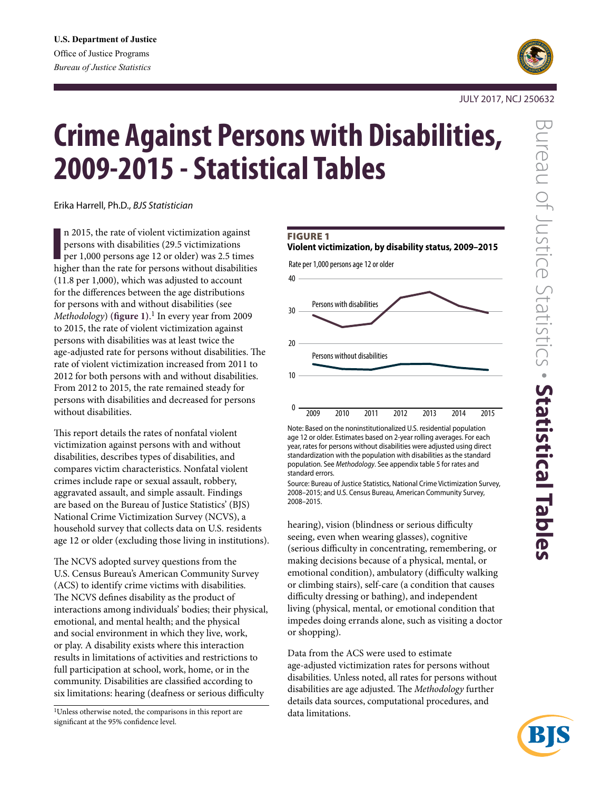

# JULY 2017, NCJ 250632

# **Crime Against Persons with Disabilities, 2009-2015 - Statistical Tables**

Erika Harrell, Ph.D., *BJS Statistician*

In 2015, the rate of violent victimization against<br>persons with disabilities (29.5 victimizations<br>per 1,000 persons age 12 or older) was 2.5 times<br>higher than the rate for persons without disabilities n 2015, the rate of violent victimization against persons with disabilities (29.5 victimizations per 1,000 persons age 12 or older) was 2.5 times (11.8 per 1,000), which was adjusted to account for the differences between the age distributions for persons with and without disabilities (see *Methodology*) **(figure 1)**. 1 In every year from 2009 to 2015, the rate of violent victimization against persons with disabilities was at least twice the age-adjusted rate for persons without disabilities. The rate of violent victimization increased from 2011 to 2012 for both persons with and without disabilities. From 2012 to 2015, the rate remained steady for persons with disabilities and decreased for persons without disabilities.

This report details the rates of nonfatal violent victimization against persons with and without disabilities, describes types of disabilities, and compares victim characteristics. Nonfatal violent crimes include rape or sexual assault, robbery, aggravated assault, and simple assault. Findings are based on the Bureau of Justice Statistics' (BJS) National Crime Victimization Survey (NCVS), a household survey that collects data on U.S. residents age 12 or older (excluding those living in institutions).

The NCVS adopted survey questions from the U.S. Census Bureau's American Community Survey (ACS) to identify crime victims with disabilities. The NCVS defines disability as the product of interactions among individuals' bodies; their physical, emotional, and mental health; and the physical and social environment in which they live, work, or play. A disability exists where this interaction results in limitations of activities and restrictions to full participation at school, work, home, or in the community. Disabilities are classified according to six limitations: hearing (deafness or serious difficulty

<sup>1</sup>Unless otherwise noted, the comparisons in this report are data limitations. significant at the 95% confidence level.

# **FIGURE 1**





Note: Based on the noninstitutionalized U.S. residential population age 12 or older. Estimates based on 2-year rolling averages. For each year, rates for persons without disabilities were adjusted using direct standardization with the population with disabilities as the standard population. See *Methodology*. See appendix table 5 for rates and standard errors.

Source: Bureau of Justice Statistics, National Crime Victimization Survey, 2008–2015; and U.S. Census Bureau, American Community Survey, 2008–2015.

hearing), vision (blindness or serious difficulty seeing, even when wearing glasses), cognitive (serious difficulty in concentrating, remembering, or making decisions because of a physical, mental, or emotional condition), ambulatory (difficulty walking or climbing stairs), self-care (a condition that causes difficulty dressing or bathing), and independent living (physical, mental, or emotional condition that impedes doing errands alone, such as visiting a doctor or shopping).

Data from the ACS were used to estimate age-adjusted victimization rates for persons without disabilities. Unless noted, all rates for persons without disabilities are age adjusted. The *Methodology* further details data sources, computational procedures, and

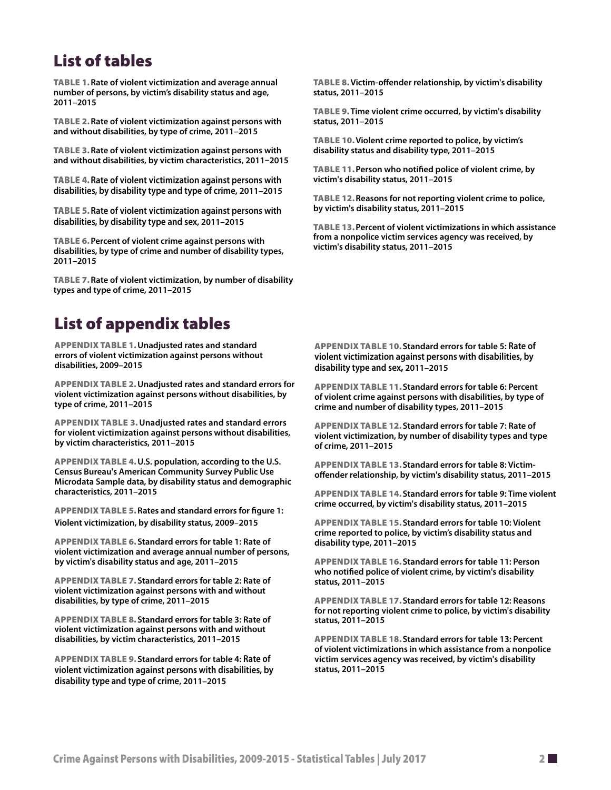# List of tables

Table 1.**[Rate of violent victimization and average annual](#page-2-0)  [number of persons, by victim's disability status and age,](#page-2-0)  [2011–2015](#page-2-0)**

Table 2.**[Rate of violent victimization against persons with](#page-2-0)  [and without disabilities, by type of crime, 2011–2015](#page-2-0)**

Table 3.**[Rate of violent victimization against persons with](#page-3-0)  [and without disabilities, by victim characteristics, 2011–2015](#page-3-0)**

Table 4.**Rate of violent victimization against persons with disabilities, by disability type and type of crim[e, 2011–2015](#page-3-0)**

Table 5.**Rate of violent victimization against persons with disabilities, by disability type and sex[, 2011–2015](#page-4-0)**

Table 6.**[Percent of violent crime against persons with](#page-4-0)  [disabilities, by type of crime and number of disability types,](#page-4-0)  [2011–2015](#page-4-0)**

Table 7.**[Rate of violent victimization, by number of disability](#page-4-0)  [types and type of crime, 2011–2015](#page-4-0)**

# List of appendix tables

Appendix table 1.**[Unadjusted rates and standard](#page-12-0)  [errors of violent victimization against persons without](#page-12-0)  [disabilities, 2009–2015](#page-12-0)**

Appendix table 2.**[Unadjusted rates and standard errors for](#page-12-0)  [violent victimization against persons without disabilities, by](#page-12-0)  [type of crime, 2011–2015](#page-12-0)** 

Appendix table 3.**[Unadjusted rates and standard errors](#page-12-0)  [for violent victimization against persons without disabilities,](#page-12-0)  [by victim characteristics, 2011–2015](#page-12-0)** 

Appendix table 4.**[U.S. population, according to the U.S.](#page-13-0)  [Census Bureau's American Community Survey Public Use](#page-13-0)  [Microdata Sample data, by disability status and demographic](#page-13-0)  [characteristics, 2011–2015](#page-13-0)**

Appendix table 5.**[Rates and standard errors for figure 1:](#page-13-0)  [Violent victimization, by disability status, 2009](#page-13-0)–2015**

Appendix table 6.**[Standard errors for table 1: Rate of](#page-13-0)  [violent victimization and average annual number of persons,](#page-13-0)  [by victim's disability status and age, 2011–2015](#page-13-0)**

Appendix table 7.**[Standard errors for table 2: Rate of](#page-14-0)  [violent victimization against persons with and without](#page-14-0)  [disabilities, by type of crime, 2011–2015](#page-14-0)**

Appendix table 8.**[Standard errors for table 3: Rate of](#page-14-0)  [violent victimization against persons with and without](#page-14-0)  [disabilities, by victim characteristics, 2011–2015](#page-14-0)**

Appendix table 9.**[Standard errors for table 4: Rate of](#page-14-0)  [violent victimization against persons with disabilities, by](#page-14-0)  [disability type and type of crime, 2011–2015](#page-14-0)**

Table 8.**[Victim-offender relationship, by victim's disability](#page-5-0)  [status, 2011–2015](#page-5-0)**

Table 9.**[Time violent crime occurred, by victim's disability](#page-5-0)  [status, 2011–2015](#page-5-0)**

Table 10.**[Violent crime reported to police, by victim's](#page-5-0)  [disability status and disability type, 2011–2015](#page-5-0)**

Table 11.**[Person who notified police of violent crime, by](#page-6-0)  [victim's disability status, 2011–2015](#page-6-0)**

Table 12.**[Reasons for not reporting violent crime to police,](#page-6-0)  [by victim's disability status, 2011–2015](#page-6-0)**

Table 13.**[Percent of violent victimizations in which assistance](#page-6-0)  [from a nonpolice victim services agency was received, by](#page-6-0)  [victim's disability status, 2011–2015](#page-6-0)**

Appendix table 10.**[Standard errors for table 5: Rate of](#page-14-0)  [violent victimization against persons with disabilities, by](#page-14-0)  [disability type and sex](#page-14-0), 2011–2015**

Appendix table 11.**[Standard errors for table 6: Percent](#page-14-0)  [of violent crime against persons with disabilities, by type of](#page-14-0)  [crime and number of disability types, 2011](#page-14-0)–2015**

Appendix table 12.**[Standard errors for table 7: Rate of](#page-14-0)  [violent victimization, by number of disability types and type](#page-14-0)  [of crime, 2011](#page-14-0)–2015**

Appendix table 13.**[Standard errors for table 8: Victim](#page-14-0)[offender relationship, by victim's disability status, 2011–2015](#page-14-0)**

Appendix table 14.**[Standard errors for table 9: Time violent](#page-15-0)  [crime occurred, by victim's disability status, 2011–2015](#page-15-0)**

Appendix table 15.**[Standard errors for table 10: Violent](#page-15-0)  [crime reported to police, by victim's disability status and](#page-15-0)  [disability type, 2011–2015](#page-15-0)**

Appendix table 16.**[Standard errors for table 11: Person](#page-15-0)  [who notified police of violent crime, by victim's disability](#page-15-0)  [status, 2011–2015](#page-15-0)**

Appendix table 17.**[Standard errors for table 12: Reasons](#page-15-0)  [for not reporting violent crime to police, by victim's disability](#page-15-0)  [status, 2011–2015](#page-15-0)**

Appendix table 18.**[Standard errors for table 13: Percent](#page-15-0)  [of violent victimizations in which assistance from a nonpolice](#page-15-0)  [victim services agency was received, by victim's disability](#page-15-0)  [status, 2011–2015](#page-15-0)**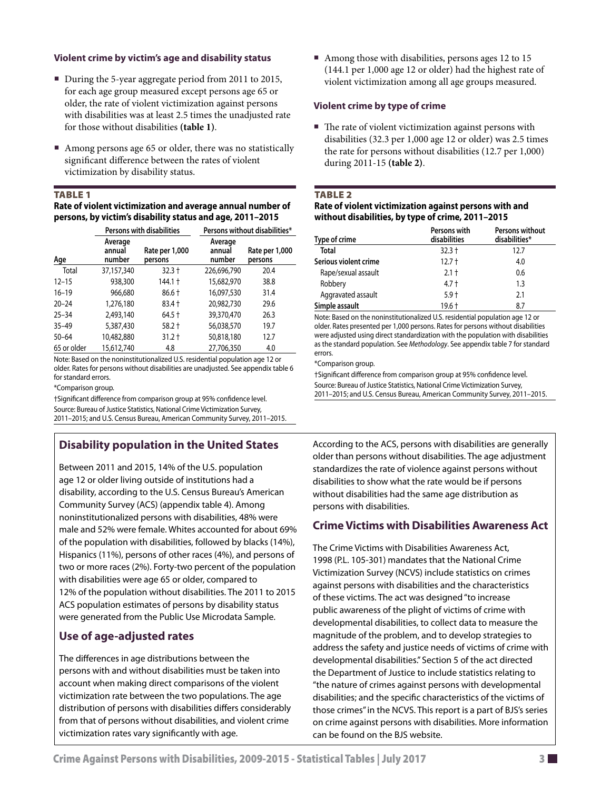# <span id="page-2-0"></span>**Violent crime by victim's age and disability status**

- During the 5-year aggregate period from 2011 to 2015, for each age group measured except persons age 65 or older, the rate of violent victimization against persons with disabilities was at least 2.5 times the unadjusted rate for those without disabilities **(table 1)**.
- Among persons age 65 or older, there was no statistically significant difference between the rates of violent victimization by disability status.

# **TABLE 1**

# **Rate of violent victimization and average annual number of persons, by victim's disability status and age, 2011–2015**

|             | Persons with disabilities   |                           | Persons without disabilities* |                           |  |
|-------------|-----------------------------|---------------------------|-------------------------------|---------------------------|--|
| Age         | Average<br>annual<br>number | Rate per 1,000<br>persons | Average<br>annual<br>number   | Rate per 1,000<br>persons |  |
| Total       | 37,157,340                  | $32.3 +$                  | 226,696,790                   | 20.4                      |  |
| $12 - 15$   | 938,300                     | 144.1 †                   | 15,682,970                    | 38.8                      |  |
| $16 - 19$   | 966,680                     | $86.6 +$                  | 16,097,530                    | 31.4                      |  |
| $20 - 24$   | 1,276,180                   | $83.4 +$                  | 20,982,730                    | 29.6                      |  |
| $25 - 34$   | 2,493,140                   | $64.5 +$                  | 39,370,470                    | 26.3                      |  |
| $35 - 49$   | 5,387,430                   | $58.2 +$                  | 56,038,570                    | 19.7                      |  |
| $50 - 64$   | 10,482,880                  | $31.2 +$                  | 50,818,180                    | 12.7                      |  |
| 65 or older | 15,612,740                  | 4.8                       | 27,706,350                    | 4.0                       |  |

Note: Based on the noninstitutionalized U.S. residential population age 12 or older. Rates for persons without disabilities are unadjusted. See appendix table 6 for standard errors.

\*Comparison group.

†Significant difference from comparison group at 95% confidence level. Source: Bureau of Justice Statistics, National Crime Victimization Survey, 2011–2015; and U.S. Census Bureau, American Community Survey, 2011–2015.

# **Disability population in the United States**

Between 2011 and 2015, 14% of the U.S. population age 12 or older living outside of institutions had a disability, according to the U.S. Census Bureau's American Community Survey (ACS) (appendix table 4). Among noninstitutionalized persons with disabilities, 48% were male and 52% were female. Whites accounted for about 69% of the population with disabilities, followed by blacks (14%), Hispanics (11%), persons of other races (4%), and persons of two or more races (2%). Forty-two percent of the population with disabilities were age 65 or older, compared to 12% of the population without disabilities. The 2011 to 2015 ACS population estimates of persons by disability status were generated from the Public Use Microdata Sample.

# **Use of age-adjusted rates**

The differences in age distributions between the persons with and without disabilities must be taken into account when making direct comparisons of the violent victimization rate between the two populations. The age distribution of persons with disabilities differs considerably from that of persons without disabilities, and violent crime victimization rates vary significantly with age.

■ Among those with disabilities, persons ages 12 to 15 (144.1 per 1,000 age 12 or older) had the highest rate of violent victimization among all age groups measured.

# **Violent crime by type of crime**

 $\blacksquare$  The rate of violent victimization against persons with disabilities (32.3 per 1,000 age 12 or older) was 2.5 times the rate for persons without disabilities (12.7 per 1,000) during 2011-15 **(table 2)**.

# TABLE 2

# **Rate of violent victimization against persons with and without disabilities, by type of crime, 2011–2015**

| Type of crime         | Persons with<br>disabilities | Persons without<br>disabilities* |
|-----------------------|------------------------------|----------------------------------|
| <b>Total</b>          | $32.3 +$                     | 12.7                             |
| Serious violent crime | $12.7 +$                     | 4.0                              |
| Rape/sexual assault   | $2.1 +$                      | 0.6                              |
| Robbery               | $4.7 +$                      | 1.3                              |
| Aggravated assault    | $5.9 +$                      | 2.1                              |
| Simple assault        | $19.6 +$                     | 8.7                              |

Note: Based on the noninstitutionalized U.S. residential population age 12 or older. Rates presented per 1,000 persons. Rates for persons without disabilities were adjusted using direct standardization with the population with disabilities as the standard population. See *Methodology*. See appendix table 7 for standard errors.

\*Comparison group.

†Significant difference from comparison group at 95% confidence level. Source: Bureau of Justice Statistics, National Crime Victimization Survey, 2011–2015; and U.S. Census Bureau, American Community Survey, 2011–2015.

According to the ACS, persons with disabilities are generally older than persons without disabilities. The age adjustment standardizes the rate of violence against persons without disabilities to show what the rate would be if persons without disabilities had the same age distribution as persons with disabilities.

# **Crime Victims with Disabilities Awareness Act**

The Crime Victims with Disabilities Awareness Act, 1998 (P.L. 105-301) mandates that the National Crime Victimization Survey (NCVS) include statistics on crimes against persons with disabilities and the characteristics of these victims. The act was designed "to increase public awareness of the plight of victims of crime with developmental disabilities, to collect data to measure the magnitude of the problem, and to develop strategies to address the safety and justice needs of victims of crime with developmental disabilities." Section 5 of the act directed the Department of Justice to include statistics relating to "the nature of crimes against persons with developmental disabilities; and the specific characteristics of the victims of those crimes" in the NCVS. This report is a part of BJS's series on crime against persons with disabilities. More information can be found on the BJS website.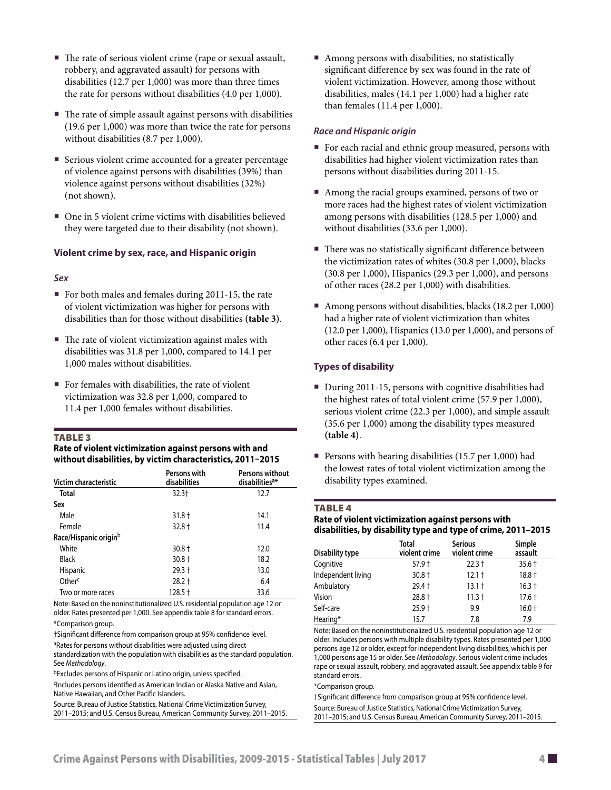- <span id="page-3-0"></span>■ The rate of serious violent crime (rape or sexual assault, robbery, and aggravated assault) for persons with disabilities (12.7 per 1,000) was more than three times the rate for persons without disabilities (4.0 per 1,000).
- The rate of simple assault against persons with disabilities (19.6 per 1,000) was more than twice the rate for persons without disabilities (8.7 per 1,000).
- Serious violent crime accounted for a greater percentage of violence against persons with disabilities (39%) than violence against persons without disabilities (32%) (not shown).
- One in 5 violent crime victims with disabilities believed they were targeted due to their disability (not shown).

# **Violent crime by sex, race, and Hispanic origin**

#### *Sex*

- For both males and females during 2011-15, the rate of violent victimization was higher for persons with disabilities than for those without disabilities **(table 3)**.
- $\blacksquare$  The rate of violent victimization against males with disabilities was 31.8 per 1,000, compared to 14.1 per 1,000 males without disabilities.
- $\blacksquare$  For females with disabilities, the rate of violent victimization was 32.8 per 1,000, compared to 11.4 per 1,000 females without disabilities.

#### TABLE 3

# **Rate of violent victimization against persons with and without disabilities, by victim characteristics, 2011–2015**

| Victim characteristic | Persons with<br>disabilities | Persons without<br>disabilities <sup>a*</sup> |
|-----------------------|------------------------------|-----------------------------------------------|
| <b>Total</b>          | $32.3+$                      | 12.7                                          |
| Sex                   |                              |                                               |
| Male                  | $31.8 +$                     | 14.1                                          |
| Female                | $32.8 +$                     | 11.4                                          |
| Race/Hispanic originb |                              |                                               |
| White                 | $30.8 +$                     | 12.0                                          |
| <b>Black</b>          | $30.8 +$                     | 18.2                                          |
| Hispanic              | $29.3 +$                     | 13.0                                          |
| Other <sup>c</sup>    | $28.2 +$                     | 6.4                                           |
| Two or more races     | 128.5 †                      | 33.6                                          |

Note: Based on the noninstitutionalized U.S. residential population age 12 or older. Rates presented per 1,000. See appendix table 8 for standard errors. \*Comparison group.

†Significant difference from comparison group at 95% confidence level.

aRates for persons without disabilities were adjusted using direct

standardization with the population with disabilities as the standard population. See *Methodology*.

bExcludes persons of Hispanic or Latino origin, unless specified.

cIncludes persons identified as American Indian or Alaska Native and Asian, Native Hawaiian, and Other Pacific Islanders.

Source: Bureau of Justice Statistics, National Crime Victimization Survey, 2011–2015; and U.S. Census Bureau, American Community Survey, 2011–2015.  Among persons with disabilities, no statistically significant difference by sex was found in the rate of violent victimization. However, among those without disabilities, males (14.1 per 1,000) had a higher rate than females (11.4 per 1,000).

#### *Race and Hispanic origin*

- For each racial and ethnic group measured, persons with disabilities had higher violent victimization rates than persons without disabilities during 2011-15.
- Among the racial groups examined, persons of two or more races had the highest rates of violent victimization among persons with disabilities (128.5 per 1,000) and without disabilities (33.6 per 1,000).
- There was no statistically significant difference between the victimization rates of whites (30.8 per 1,000), blacks (30.8 per 1,000), Hispanics (29.3 per 1,000), and persons of other races (28.2 per 1,000) with disabilities.
- Among persons without disabilities, blacks (18.2 per 1,000) had a higher rate of violent victimization than whites (12.0 per 1,000), Hispanics (13.0 per 1,000), and persons of other races (6.4 per 1,000).

# **Types of disability**

- During 2011-15, persons with cognitive disabilities had the highest rates of total violent crime (57.9 per 1,000), serious violent crime (22.3 per 1,000), and simple assault (35.6 per 1,000) among the disability types measured **(table 4)**.
- Persons with hearing disabilities (15.7 per 1,000) had the lowest rates of total violent victimization among the disability types examined.

#### TABLE 4

# **Rate of violent victimization against persons with disabilities, by disability type and type of crime, 2011–2015**

| Disability type    | <b>Total</b><br>violent crime | <b>Serious</b><br>violent crime | Simple<br>assault |  |
|--------------------|-------------------------------|---------------------------------|-------------------|--|
| Cognitive          | $57.9 +$                      | $22.3 +$                        | $35.6 +$          |  |
| Independent living | $30.8 +$                      | $12.1 +$                        | $18.8 +$          |  |
| Ambulatory         | $29.4 +$                      | $13.1 +$                        | $16.3 +$          |  |
| Vision             | $28.8 +$                      | $11.3 +$                        | $17.6 +$          |  |
| Self-care          | $25.9 +$                      | 9.9                             | $16.0 +$          |  |
| Hearing*           | 15.7                          | 7.8                             | 7.9               |  |

Note: Based on the noninstitutionalized U.S. residential population age 12 or older. Includes persons with multiple disability types. Rates presented per 1,000 persons age 12 or older, except for independent living disabilities, which is per 1,000 persons age 15 or older. See *Methodology*. Serious violent crime includes rape or sexual assault, robbery, and aggravated assault. See appendix table 9 for standard errors.

\*Comparison group.

†Significant difference from comparison group at 95% confidence level. Source: Bureau of Justice Statistics, National Crime Victimization Survey, 2011–2015; and U.S. Census Bureau, American Community Survey, 2011–2015.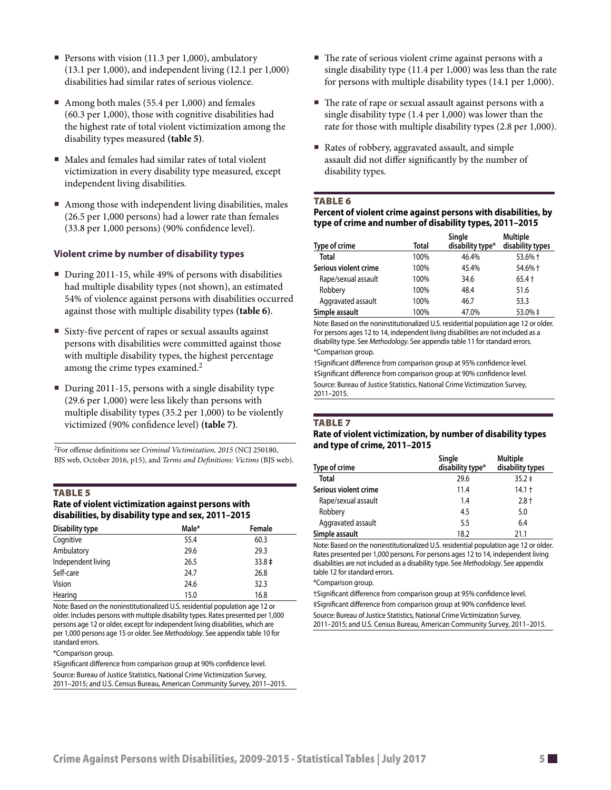- <span id="page-4-0"></span>Persons with vision (11.3 per 1,000), ambulatory (13.1 per 1,000), and independent living (12.1 per 1,000) disabilities had similar rates of serious violence.
- Among both males (55.4 per 1,000) and females (60.3 per 1,000), those with cognitive disabilities had the highest rate of total violent victimization among the disability types measured **(table 5)**.
- Males and females had similar rates of total violent victimization in every disability type measured, except independent living disabilities.
- Among those with independent living disabilities, males (26.5 per 1,000 persons) had a lower rate than females (33.8 per 1,000 persons) (90% confidence level).

# **Violent crime by number of disability types**

- During 2011-15, while 49% of persons with disabilities had multiple disability types (not shown), an estimated 54% of violence against persons with disabilities occurred against those with multiple disability types **(table 6)**.
- Sixty-five percent of rapes or sexual assaults against persons with disabilities were committed against those with multiple disability types, the highest percentage among the crime types examined.<sup>2</sup>
- During 2011-15, persons with a single disability type (29.6 per 1,000) were less likely than persons with multiple disability types (35.2 per 1,000) to be violently victimized (90% confidence level) **(table 7)**.

2For offense definitions see *Criminal Victimization, 2015* (NCJ 250180, BJS web, October 2016, p15), and *Terms and Definitions: Victims* (BJS web).

#### TABLE 5

#### **Rate of violent victimization against persons with disabilities, by disability type and sex, 2011–2015**

| Disability type    | Male* | Female  |  |
|--------------------|-------|---------|--|
| Cognitive          | 55.4  | 60.3    |  |
| Ambulatory         | 29.6  | 29.3    |  |
| Independent living | 26.5  | $33.8+$ |  |
| Self-care          | 24.7  | 26.8    |  |
| Vision             | 24.6  | 32.3    |  |
| Hearing            | 15.0  | 16.8    |  |

Note: Based on the noninstitutionalized U.S. residential population age 12 or older. Includes persons with multiple disability types. Rates presented per 1,000 persons age 12 or older, except for independent living disabilities, which are per 1,000 persons age 15 or older. See *Methodology*. See appendix table 10 for standard errors.

\*Comparison group.

‡Significant difference from comparison group at 90% confidence level. Source: Bureau of Justice Statistics, National Crime Victimization Survey, 2011–2015; and U.S. Census Bureau, American Community Survey, 2011–2015.

- The rate of serious violent crime against persons with a single disability type (11.4 per 1,000) was less than the rate for persons with multiple disability types (14.1 per 1,000).
- The rate of rape or sexual assault against persons with a single disability type (1.4 per 1,000) was lower than the rate for those with multiple disability types (2.8 per 1,000).
- Rates of robbery, aggravated assault, and simple assault did not differ significantly by the number of disability types.

## TABLE 6

# **Percent of violent crime against persons with disabilities, by type of crime and number of disability types, 2011–2015**

| Type of crime         | Total | Single<br>disability type* | <b>Multiple</b><br>disability types |
|-----------------------|-------|----------------------------|-------------------------------------|
| <b>Total</b>          | 100%  | 46.4%                      | 53.6% +                             |
| Serious violent crime | 100%  | 45.4%                      | 54.6% +                             |
| Rape/sexual assault   | 100%  | 34.6                       | $65.4 +$                            |
| Robbery               | 100%  | 48.4                       | 51.6                                |
| Aggravated assault    | 100%  | 46.7                       | 53.3                                |
| Simple assault        | 100%  | 47.0%                      | 53.0% ‡                             |

Note: Based on the noninstitutionalized U.S. residential population age 12 or older. For persons ages 12 to 14, independent living disabilities are not included as a disability type. See *Methodology*. See appendix table 11 for standard errors. \*Comparison group.

†Significant difference from comparison group at 95% confidence level. ‡Significant difference from comparison group at 90% confidence level. Source: Bureau of Justice Statistics, National Crime Victimization Survey, 2011–2015.

# TABLE 7

# **Rate of violent victimization, by number of disability types and type of crime, 2011–2015**

| Type of crime         | Single<br>disability type* | Multiple<br>disability types |  |
|-----------------------|----------------------------|------------------------------|--|
| <b>Total</b>          | 29.6                       | $35.2 \pm$                   |  |
| Serious violent crime | 11.4                       | $14.1 +$                     |  |
| Rape/sexual assault   | 1.4                        | $2.8 +$                      |  |
| Robbery               | 4.5                        | 5.0                          |  |
| Aggravated assault    | 5.5                        | 6.4                          |  |
| Simple assault        | 18.2                       | 21.1                         |  |

Note: Based on the noninstitutionalized U.S. residential population age 12 or older. Rates presented per 1,000 persons. For persons ages 12 to 14, independent living disabilities are not included as a disability type. See *Methodology*. See appendix table 12 for standard errors.

\*Comparison group.

†Significant difference from comparison group at 95% confidence level.

‡Significant difference from comparison group at 90% confidence level. Source: Bureau of Justice Statistics, National Crime Victimization Survey,

2011–2015; and U.S. Census Bureau, American Community Survey, 2011–2015.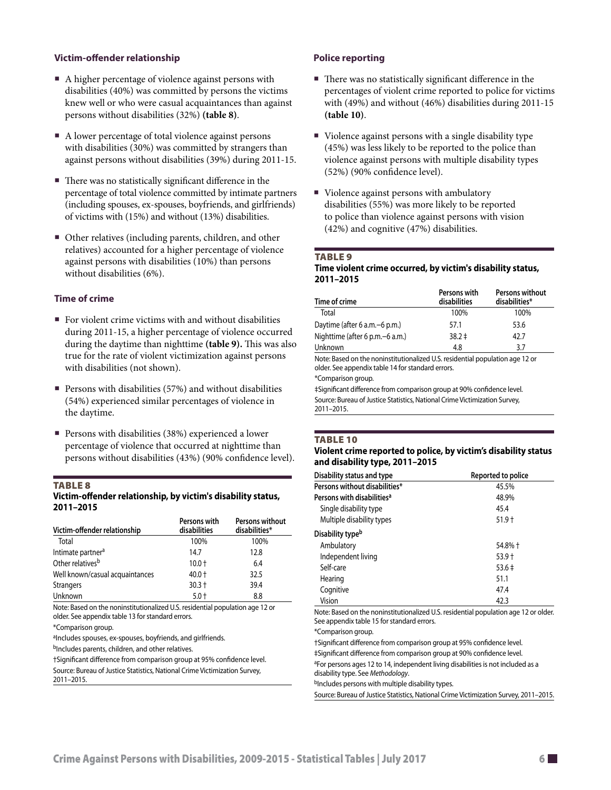# <span id="page-5-0"></span>**Victim-offender relationship**

- A higher percentage of violence against persons with disabilities (40%) was committed by persons the victims knew well or who were casual acquaintances than against persons without disabilities (32%) **(table 8)**.
- A lower percentage of total violence against persons with disabilities (30%) was committed by strangers than against persons without disabilities (39%) during 2011-15.
- There was no statistically significant difference in the percentage of total violence committed by intimate partners (including spouses, ex-spouses, boyfriends, and girlfriends) of victims with (15%) and without (13%) disabilities.
- Other relatives (including parents, children, and other relatives) accounted for a higher percentage of violence against persons with disabilities (10%) than persons without disabilities (6%).

# **Time of crime**

- For violent crime victims with and without disabilities during 2011-15, a higher percentage of violence occurred during the daytime than nighttime **(table 9).** This was also true for the rate of violent victimization against persons with disabilities (not shown).
- **Persons with disabilities (57%) and without disabilities** (54%) experienced similar percentages of violence in the daytime.
- **Persons with disabilities (38%) experienced a lower** percentage of violence that occurred at nighttime than persons without disabilities (43%) (90% confidence level).

# TABLE 8

#### **Victim-offender relationship, by victim's disability status, 2011–2015**

| Victim-offender relationship    | Persons with<br>disabilities | Persons without<br>disabilities* |
|---------------------------------|------------------------------|----------------------------------|
| Total                           | 100%                         | 100%                             |
| Intimate partner <sup>a</sup>   | 14.7                         | 12.8                             |
| Other relatives <sup>b</sup>    | $10.0 +$                     | 6.4                              |
| Well known/casual acquaintances | $40.0 +$                     | 32.5                             |
| <b>Strangers</b>                | $30.3 +$                     | 39.4                             |
| Unknown                         | $5.0 +$                      | 8.8                              |

Note: Based on the noninstitutionalized U.S. residential population age 12 or older. See appendix table 13 for standard errors.

\*Comparison group.

aIncludes spouses, ex-spouses, boyfriends, and girlfriends.

bIncludes parents, children, and other relatives.

†Significant difference from comparison group at 95% confidence level. Source: Bureau of Justice Statistics, National Crime Victimization Survey, 2011–2015.

#### **Police reporting**

- There was no statistically significant difference in the percentages of violent crime reported to police for victims with (49%) and without (46%) disabilities during 2011-15 **(table 10)**.
- Violence against persons with a single disability type (45%) was less likely to be reported to the police than violence against persons with multiple disability types (52%) (90% confidence level).
- Violence against persons with ambulatory disabilities (55%) was more likely to be reported to police than violence against persons with vision (42%) and cognitive (47%) disabilities.

#### TABLE 9

# **Time violent crime occurred, by victim's disability status, 2011–2015**

| Time of crime                   | Persons with<br>disabilities | Persons without<br>disabilities* |
|---------------------------------|------------------------------|----------------------------------|
| Total                           | 100%                         | 100%                             |
| Daytime (after 6 a.m. - 6 p.m.) | 57.1                         | 53.6                             |
| Nighttime (after 6 p.m.–6 a.m.) | $38.2 \pm$                   | 42.7                             |
| Unknown                         | 4.8                          | 37                               |
|                                 |                              |                                  |

Note: Based on the noninstitutionalized U.S. residential population age 12 or older. See appendix table 14 for standard errors.

\*Comparison group.

‡Significant difference from comparison group at 90% confidence level. Source: Bureau of Justice Statistics, National Crime Victimization Survey, 2011–2015.

#### TABLE 10

# **Violent crime reported to police, by victim's disability status and disability type, 2011–2015**

| Disability status and type             | Reported to police |  |  |
|----------------------------------------|--------------------|--|--|
| Persons without disabilities*          | 45.5%              |  |  |
| Persons with disabilities <sup>a</sup> | 48.9%              |  |  |
| Single disability type                 | 45.4               |  |  |
| Multiple disability types              | $51.9 +$           |  |  |
| Disability type <sup>b</sup>           |                    |  |  |
| Ambulatory                             | 54.8% +            |  |  |
| Independent living                     | $53.9 +$           |  |  |
| Self-care                              | $53.6 \pm$         |  |  |
| Hearing                                | 51.1               |  |  |
| Cognitive                              | 47.4               |  |  |
| Vision                                 | 42.3               |  |  |

Note: Based on the noninstitutionalized U.S. residential population age 12 or older. See appendix table 15 for standard errors.

\*Comparison group.

†Significant difference from comparison group at 95% confidence level.

‡Significant difference from comparison group at 90% confidence level.

<sup>a</sup>For persons ages 12 to 14, independent living disabilities is not included as a disability type. See *Methodology*.

bIncludes persons with multiple disability types.

Source: Bureau of Justice Statistics, National Crime Victimization Survey, 2011–2015.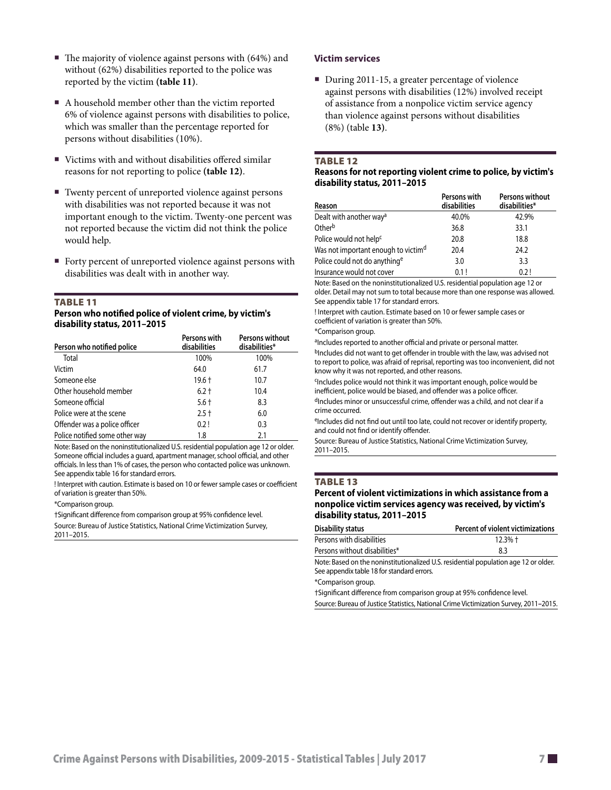- <span id="page-6-0"></span>■ The majority of violence against persons with (64%) and without (62%) disabilities reported to the police was reported by the victim **(table 11)**.
- A household member other than the victim reported 6% of violence against persons with disabilities to police, which was smaller than the percentage reported for persons without disabilities (10%).
- Victims with and without disabilities offered similar reasons for not reporting to police **(table 12)**.
- Twenty percent of unreported violence against persons with disabilities was not reported because it was not important enough to the victim. Twenty-one percent was not reported because the victim did not think the police would help.
- Forty percent of unreported violence against persons with disabilities was dealt with in another way.

#### Table 11

# **Person who notified police of violent crime, by victim's disability status, 2011–2015**

| Person who notified police     | Persons with<br>disabilities | <b>Persons without</b><br>disabilities* |
|--------------------------------|------------------------------|-----------------------------------------|
| Total                          | 100%                         | 100%                                    |
| Victim                         | 64.0                         | 61.7                                    |
| Someone else                   | $19.6 +$                     | 10.7                                    |
| Other household member         | $6.2 +$                      | 10.4                                    |
| Someone official               | $5.6 +$                      | 8.3                                     |
| Police were at the scene       | $2.5 +$                      | 6.0                                     |
| Offender was a police officer  | 0.2!                         | 0.3                                     |
| Police notified some other way | 1.8                          | 2.1                                     |

Note: Based on the noninstitutionalized U.S. residential population age 12 or older. Someone official includes a guard, apartment manager, school official, and other officials. In less than 1% of cases, the person who contacted police was unknown. See appendix table 16 for standard errors.

! Interpret with caution. Estimate is based on 10 or fewer sample cases or coefficient of variation is greater than 50%.

\*Comparison group.

†Significant difference from comparison group at 95% confidence level. Source: Bureau of Justice Statistics, National Crime Victimization Survey, 2011–2015.

# **Victim services**

During 2011-15, a greater percentage of violence against persons with disabilities (12%) involved receipt of assistance from a nonpolice victim service agency than violence against persons without disabilities (8%) (table **13)**.

# TABLE 12

# **Reasons for not reporting violent crime to police, by victim's disability status, 2011–2015**

| Reason                                          | Persons with<br>disabilities | <b>Persons without</b><br>disabilities* |
|-------------------------------------------------|------------------------------|-----------------------------------------|
| Dealt with another way <sup>a</sup>             | 40.0%                        | 42.9%                                   |
| Otherb                                          | 36.8                         | 33.1                                    |
| Police would not help <sup>c</sup>              | 20.8                         | 18.8                                    |
| Was not important enough to victim <sup>d</sup> | 20.4                         | 24.2                                    |
| Police could not do anything <sup>e</sup>       | 3.0                          | 3.3                                     |
| Insurance would not cover                       | 0.1!                         | 0.2!                                    |

Note: Based on the noninstitutionalized U.S. residential population age 12 or older. Detail may not sum to total because more than one response was allowed. See appendix table 17 for standard errors.

! Interpret with caution. Estimate based on 10 or fewer sample cases or coefficient of variation is greater than 50%.

\*Comparison group.

aIncludes reported to another official and private or personal matter.

<sup>b</sup>Includes did not want to get offender in trouble with the law, was advised not to report to police, was afraid of reprisal, reporting was too inconvenient, did not know why it was not reported, and other reasons.

cIncludes police would not think it was important enough, police would be inefficient, police would be biased, and offender was a police officer.

dIncludes minor or unsuccessful crime, offender was a child, and not clear if a crime occurred.

eIncludes did not find out until too late, could not recover or identify property, and could not find or identify offender.

Source: Bureau of Justice Statistics, National Crime Victimization Survey, 2011–2015.

# TABLE 13

# **Percent of violent victimizations in which assistance from a nonpolice victim services agency was received, by victim's disability status, 2011–2015**

| Disability status             | Percent of violent victimizations |
|-------------------------------|-----------------------------------|
| Persons with disabilities     | $12.3\% +$                        |
| Persons without disabilities* | -8.3                              |

Note: Based on the noninstitutionalized U.S. residential population age 12 or older. See appendix table 18 for standard errors.

\*Comparison group.

†Significant difference from comparison group at 95% confidence level. Source: Bureau of Justice Statistics, National Crime Victimization Survey, 2011**–**2015.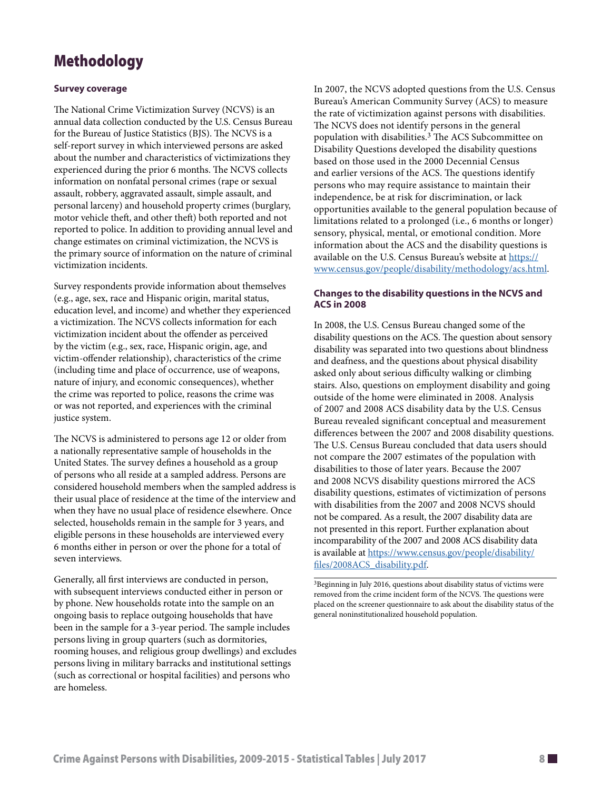# Methodology

# **Survey coverage**

The National Crime Victimization Survey (NCVS) is an annual data collection conducted by the U.S. Census Bureau for the Bureau of Justice Statistics (BJS). The NCVS is a self-report survey in which interviewed persons are asked about the number and characteristics of victimizations they experienced during the prior 6 months. The NCVS collects information on nonfatal personal crimes (rape or sexual assault, robbery, aggravated assault, simple assault, and personal larceny) and household property crimes (burglary, motor vehicle theft, and other theft) both reported and not reported to police. In addition to providing annual level and change estimates on criminal victimization, the NCVS is the primary source of information on the nature of criminal victimization incidents.

Survey respondents provide information about themselves (e.g., age, sex, race and Hispanic origin, marital status, education level, and income) and whether they experienced a victimization. The NCVS collects information for each victimization incident about the offender as perceived by the victim (e.g., sex, race, Hispanic origin, age, and victim-offender relationship), characteristics of the crime (including time and place of occurrence, use of weapons, nature of injury, and economic consequences), whether the crime was reported to police, reasons the crime was or was not reported, and experiences with the criminal justice system.

The NCVS is administered to persons age 12 or older from a nationally representative sample of households in the United States. The survey defines a household as a group of persons who all reside at a sampled address. Persons are considered household members when the sampled address is their usual place of residence at the time of the interview and when they have no usual place of residence elsewhere. Once selected, households remain in the sample for 3 years, and eligible persons in these households are interviewed every 6 months either in person or over the phone for a total of seven interviews.

Generally, all first interviews are conducted in person, with subsequent interviews conducted either in person or by phone. New households rotate into the sample on an ongoing basis to replace outgoing households that have been in the sample for a 3-year period. The sample includes persons living in group quarters (such as dormitories, rooming houses, and religious group dwellings) and excludes persons living in military barracks and institutional settings (such as correctional or hospital facilities) and persons who are homeless.

In 2007, the NCVS adopted questions from the U.S. Census Bureau's American Community Survey (ACS) to measure the rate of victimization against persons with disabilities. The NCVS does not identify persons in the general population with disabilities.3 The ACS Subcommittee on Disability Questions developed the disability questions based on those used in the 2000 Decennial Census and earlier versions of the ACS. The questions identify persons who may require assistance to maintain their independence, be at risk for discrimination, or lack opportunities available to the general population because of limitations related to a prolonged (i.e., 6 months or longer) sensory, physical, mental, or emotional condition. More information about the ACS and the disability questions is available on the U.S. Census Bureau's website at [https://](https://www.census.gov/people/disability/methodology/acs.html) [www.census.gov/people/disability/methodology/acs.html](https://www.census.gov/people/disability/methodology/acs.html).

# **Changes to the disability questions in the NCVS and ACS in 2008**

In 2008, the U.S. Census Bureau changed some of the disability questions on the ACS. The question about sensory disability was separated into two questions about blindness and deafness, and the questions about physical disability asked only about serious difficulty walking or climbing stairs. Also, questions on employment disability and going outside of the home were eliminated in 2008. Analysis of 2007 and 2008 ACS disability data by the U.S. Census Bureau revealed significant conceptual and measurement differences between the 2007 and 2008 disability questions. The U.S. Census Bureau concluded that data users should not compare the 2007 estimates of the population with disabilities to those of later years. Because the 2007 and 2008 NCVS disability questions mirrored the ACS disability questions, estimates of victimization of persons with disabilities from the 2007 and 2008 NCVS should not be compared. As a result, the 2007 disability data are not presented in this report. Further explanation about incomparability of the 2007 and 2008 ACS disability data is available at [https://www.census.gov/people/disability/](https://www.census.gov/people/disability/files/2008ACS_disability.pdf) [files/2008ACS\\_disability.pdf](https://www.census.gov/people/disability/files/2008ACS_disability.pdf).

<sup>3</sup>Beginning in July 2016, questions about disability status of victims were removed from the crime incident form of the NCVS. The questions were placed on the screener questionnaire to ask about the disability status of the general noninstitutionalized household population.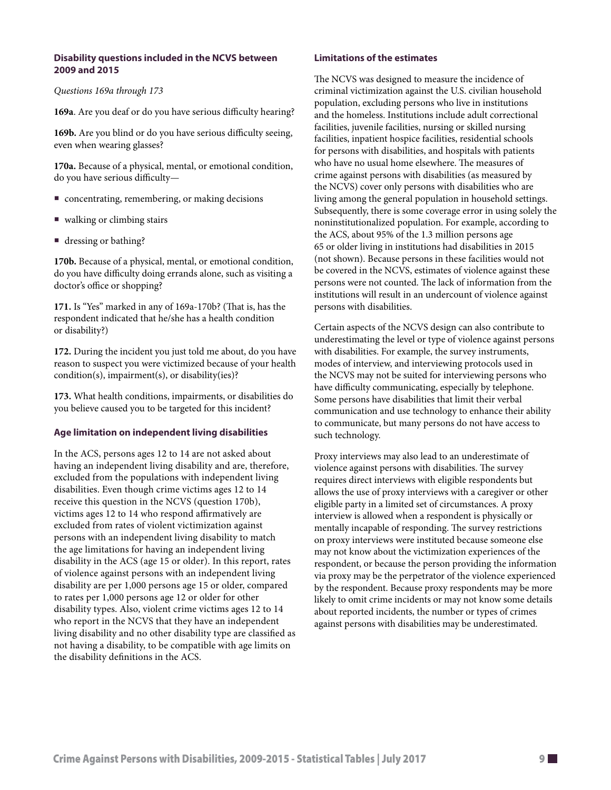# **Disability questions included in the NCVS between 2009 and 2015**

# *Questions 169a through 173*

**169a**. Are you deaf or do you have serious difficulty hearing?

**169b.** Are you blind or do you have serious difficulty seeing, even when wearing glasses?

**170a.** Because of a physical, mental, or emotional condition, do you have serious difficulty—

- **concentrating, remembering, or making decisions**
- walking or climbing stairs
- dressing or bathing?

**170b.** Because of a physical, mental, or emotional condition, do you have difficulty doing errands alone, such as visiting a doctor's office or shopping?

**171.** Is "Yes" marked in any of 169a-170b? (That is, has the respondent indicated that he/she has a health condition or disability?)

**172.** During the incident you just told me about, do you have reason to suspect you were victimized because of your health condition(s), impairment(s), or disability(ies)?

**173.** What health conditions, impairments, or disabilities do you believe caused you to be targeted for this incident?

# **Age limitation on independent living disabilities**

In the ACS, persons ages 12 to 14 are not asked about having an independent living disability and are, therefore, excluded from the populations with independent living disabilities. Even though crime victims ages 12 to 14 receive this question in the NCVS (question 170b), victims ages 12 to 14 who respond affirmatively are excluded from rates of violent victimization against persons with an independent living disability to match the age limitations for having an independent living disability in the ACS (age 15 or older). In this report, rates of violence against persons with an independent living disability are per 1,000 persons age 15 or older, compared to rates per 1,000 persons age 12 or older for other disability types. Also, violent crime victims ages 12 to 14 who report in the NCVS that they have an independent living disability and no other disability type are classified as not having a disability, to be compatible with age limits on the disability definitions in the ACS.

# **Limitations of the estimates**

The NCVS was designed to measure the incidence of criminal victimization against the U.S. civilian household population, excluding persons who live in institutions and the homeless. Institutions include adult correctional facilities, juvenile facilities, nursing or skilled nursing facilities, inpatient hospice facilities, residential schools for persons with disabilities, and hospitals with patients who have no usual home elsewhere. The measures of crime against persons with disabilities (as measured by the NCVS) cover only persons with disabilities who are living among the general population in household settings. Subsequently, there is some coverage error in using solely the noninstitutionalized population. For example, according to the ACS, about 95% of the 1.3 million persons age 65 or older living in institutions had disabilities in 2015 (not shown). Because persons in these facilities would not be covered in the NCVS, estimates of violence against these persons were not counted. The lack of information from the institutions will result in an undercount of violence against persons with disabilities.

Certain aspects of the NCVS design can also contribute to underestimating the level or type of violence against persons with disabilities. For example, the survey instruments, modes of interview, and interviewing protocols used in the NCVS may not be suited for interviewing persons who have difficulty communicating, especially by telephone. Some persons have disabilities that limit their verbal communication and use technology to enhance their ability to communicate, but many persons do not have access to such technology.

Proxy interviews may also lead to an underestimate of violence against persons with disabilities. The survey requires direct interviews with eligible respondents but allows the use of proxy interviews with a caregiver or other eligible party in a limited set of circumstances. A proxy interview is allowed when a respondent is physically or mentally incapable of responding. The survey restrictions on proxy interviews were instituted because someone else may not know about the victimization experiences of the respondent, or because the person providing the information via proxy may be the perpetrator of the violence experienced by the respondent. Because proxy respondents may be more likely to omit crime incidents or may not know some details about reported incidents, the number or types of crimes against persons with disabilities may be underestimated.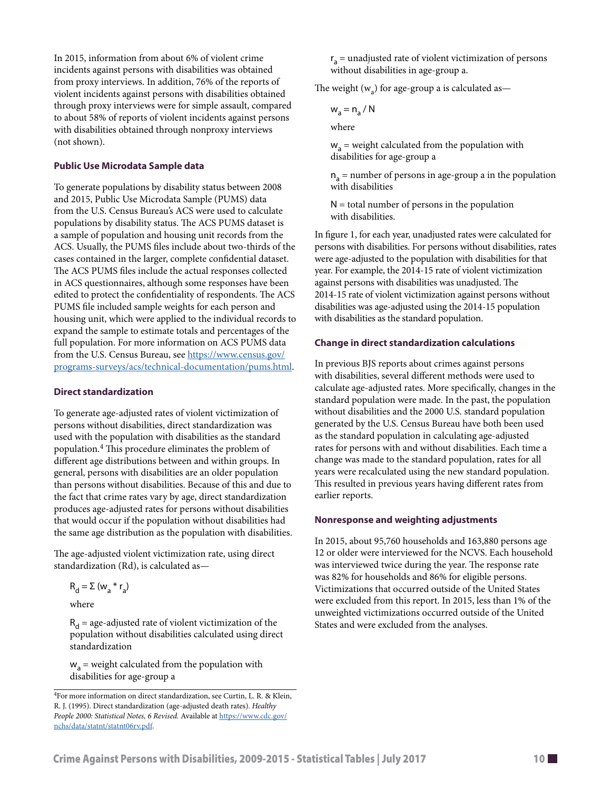In 2015, information from about 6% of violent crime incidents against persons with disabilities was obtained from proxy interviews. In addition, 76% of the reports of violent incidents against persons with disabilities obtained through proxy interviews were for simple assault, compared to about 58% of reports of violent incidents against persons with disabilities obtained through nonproxy interviews (not shown).

#### **Public Use Microdata Sample data**

To generate populations by disability status between 2008 and 2015, Public Use Microdata Sample (PUMS) data from the U.S. Census Bureau's ACS were used to calculate populations by disability status. The ACS PUMS dataset is a sample of population and housing unit records from the ACS. Usually, the PUMS files include about two-thirds of the cases contained in the larger, complete confidential dataset. The ACS PUMS files include the actual responses collected in ACS questionnaires, although some responses have been edited to protect the confidentiality of respondents. The ACS PUMS file included sample weights for each person and housing unit, which were applied to the individual records to expand the sample to estimate totals and percentages of the full population. For more information on ACS PUMS data from the U.S. Census Bureau, see [https://www.census.gov/](https://www.census.gov/programs-surveys/acs/technical-documentation/pums.html) [programs-surveys/acs/technical-documentation/pums.html.](https://www.census.gov/programs-surveys/acs/technical-documentation/pums.html)

# **Direct standardization**

To generate age-adjusted rates of violent victimization of persons without disabilities, direct standardization was used with the population with disabilities as the standard population.4 This procedure eliminates the problem of different age distributions between and within groups. In general, persons with disabilities are an older population than persons without disabilities. Because of this and due to the fact that crime rates vary by age, direct standardization produces age-adjusted rates for persons without disabilities that would occur if the population without disabilities had the same age distribution as the population with disabilities.

The age-adjusted violent victimization rate, using direct standardization (Rd), is calculated as—

 $R_{d} = \sum (w_{a} * r_{a})$ 

where

 $R_d$  = age-adjusted rate of violent victimization of the population without disabilities calculated using direct standardization

 $w_2$  = weight calculated from the population with disabilities for age-group a

r <sup>a</sup> = unadjusted rate of violent victimization of persons without disabilities in age-group a.

The weight  $(w_a)$  for age-group a is calculated as—

$$
w_a = n_a / N
$$

where

 $w_a$  = weight calculated from the population with disabilities for age-group a

 $n_a$  = number of persons in age-group a in the population with disabilities

 $N =$  total number of persons in the population with disabilities.

In figure 1, for each year, unadjusted rates were calculated for persons with disabilities. For persons without disabilities, rates were age-adjusted to the population with disabilities for that year. For example, the 2014-15 rate of violent victimization against persons with disabilities was unadjusted. The 2014-15 rate of violent victimization against persons without disabilities was age-adjusted using the 2014-15 population with disabilities as the standard population.

#### **Change in direct standardization calculations**

In previous BJS reports about crimes against persons with disabilities, several different methods were used to calculate age-adjusted rates. More specifically, changes in the standard population were made. In the past, the population without disabilities and the 2000 U.S. standard population generated by the U.S. Census Bureau have both been used as the standard population in calculating age-adjusted rates for persons with and without disabilities. Each time a change was made to the standard population, rates for all years were recalculated using the new standard population. This resulted in previous years having different rates from earlier reports.

#### **Nonresponse and weighting adjustments**

In 2015, about 95,760 households and 163,880 persons age 12 or older were interviewed for the NCVS. Each household was interviewed twice during the year. The response rate was 82% for households and 86% for eligible persons. Victimizations that occurred outside of the United States were excluded from this report. In 2015, less than 1% of the unweighted victimizations occurred outside of the United States and were excluded from the analyses.

<sup>4</sup>For more information on direct standardization, see Curtin, L. R. & Klein, R. J. (1995). Direct standardization (age-adjusted death rates). *Healthy People 2000: Statistical Notes, 6 Revised.* Available at [https://www.cdc.gov/](https://www.cdc.gov/nchs/data/statnt/statnt06rv.pdf) [nchs/data/statnt/statnt06rv.pdf.](https://www.cdc.gov/nchs/data/statnt/statnt06rv.pdf)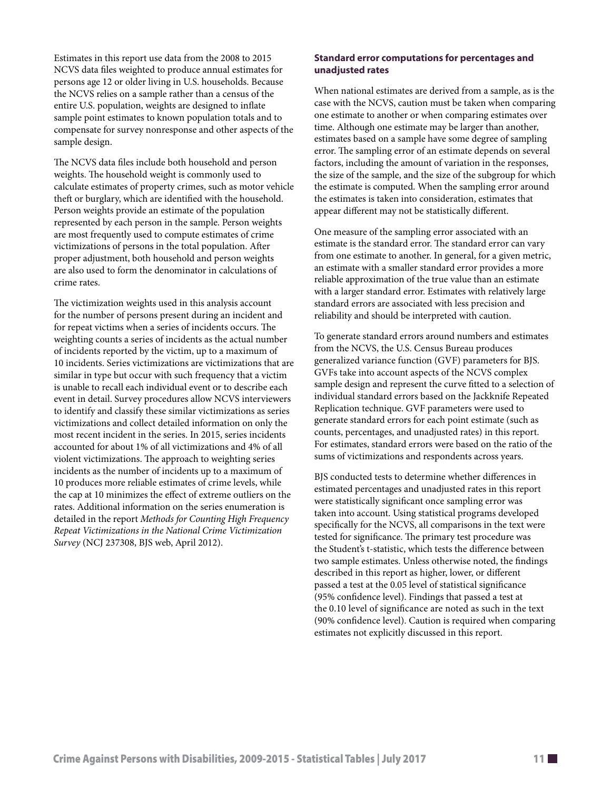Estimates in this report use data from the 2008 to 2015 NCVS data files weighted to produce annual estimates for persons age 12 or older living in U.S. households. Because the NCVS relies on a sample rather than a census of the entire U.S. population, weights are designed to inflate sample point estimates to known population totals and to compensate for survey nonresponse and other aspects of the sample design.

The NCVS data files include both household and person weights. The household weight is commonly used to calculate estimates of property crimes, such as motor vehicle theft or burglary, which are identified with the household. Person weights provide an estimate of the population represented by each person in the sample. Person weights are most frequently used to compute estimates of crime victimizations of persons in the total population. After proper adjustment, both household and person weights are also used to form the denominator in calculations of crime rates.

The victimization weights used in this analysis account for the number of persons present during an incident and for repeat victims when a series of incidents occurs. The weighting counts a series of incidents as the actual number of incidents reported by the victim, up to a maximum of 10 incidents. Series victimizations are victimizations that are similar in type but occur with such frequency that a victim is unable to recall each individual event or to describe each event in detail. Survey procedures allow NCVS interviewers to identify and classify these similar victimizations as series victimizations and collect detailed information on only the most recent incident in the series. In 2015, series incidents accounted for about 1% of all victimizations and 4% of all violent victimizations. The approach to weighting series incidents as the number of incidents up to a maximum of 10 produces more reliable estimates of crime levels, while the cap at 10 minimizes the effect of extreme outliers on the rates. Additional information on the series enumeration is detailed in the report *Methods for Counting High Frequency Repeat Victimizations in the National Crime Victimization Survey* (NCJ 237308, BJS web, April 2012).

# **Standard error computations for percentages and unadjusted rates**

When national estimates are derived from a sample, as is the case with the NCVS, caution must be taken when comparing one estimate to another or when comparing estimates over time. Although one estimate may be larger than another, estimates based on a sample have some degree of sampling error. The sampling error of an estimate depends on several factors, including the amount of variation in the responses, the size of the sample, and the size of the subgroup for which the estimate is computed. When the sampling error around the estimates is taken into consideration, estimates that appear different may not be statistically different.

One measure of the sampling error associated with an estimate is the standard error. The standard error can vary from one estimate to another. In general, for a given metric, an estimate with a smaller standard error provides a more reliable approximation of the true value than an estimate with a larger standard error. Estimates with relatively large standard errors are associated with less precision and reliability and should be interpreted with caution.

To generate standard errors around numbers and estimates from the NCVS, the U.S. Census Bureau produces generalized variance function (GVF) parameters for BJS. GVFs take into account aspects of the NCVS complex sample design and represent the curve fitted to a selection of individual standard errors based on the Jackknife Repeated Replication technique. GVF parameters were used to generate standard errors for each point estimate (such as counts, percentages, and unadjusted rates) in this report. For estimates, standard errors were based on the ratio of the sums of victimizations and respondents across years.

BJS conducted tests to determine whether differences in estimated percentages and unadjusted rates in this report were statistically significant once sampling error was taken into account. Using statistical programs developed specifically for the NCVS, all comparisons in the text were tested for significance. The primary test procedure was the Student's t-statistic, which tests the difference between two sample estimates. Unless otherwise noted, the findings described in this report as higher, lower, or different passed a test at the 0.05 level of statistical significance (95% confidence level). Findings that passed a test at the 0.10 level of significance are noted as such in the text (90% confidence level). Caution is required when comparing estimates not explicitly discussed in this report.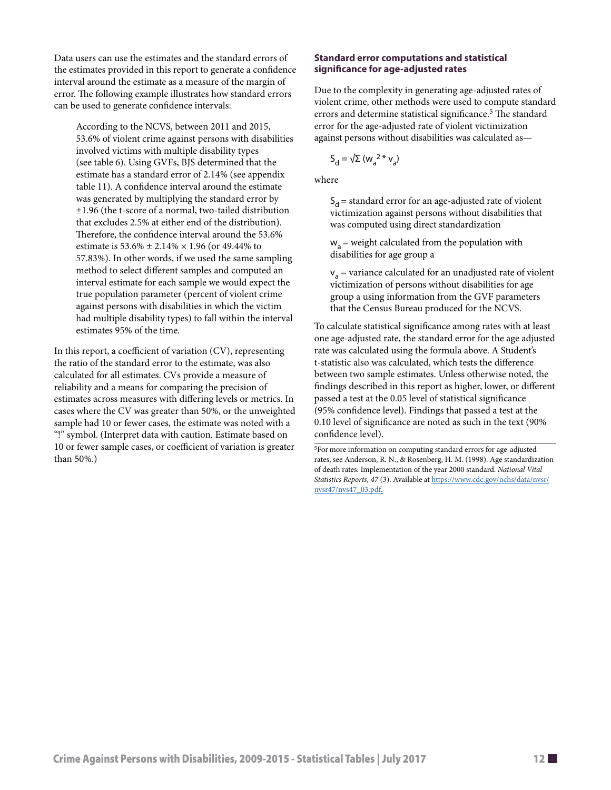Data users can use the estimates and the standard errors of the estimates provided in this report to generate a confidence interval around the estimate as a measure of the margin of error. The following example illustrates how standard errors can be used to generate confidence intervals:

According to the NCVS, between 2011 and 2015, 53.6% of violent crime against persons with disabilities involved victims with multiple disability types (see table 6). Using GVFs, BJS determined that the estimate has a standard error of 2.14% (see appendix table 11). A confidence interval around the estimate was generated by multiplying the standard error by ±1.96 (the t-score of a normal, two-tailed distribution that excludes 2.5% at either end of the distribution). Therefore, the confidence interval around the 53.6% estimate is  $53.6\% \pm 2.14\% \times 1.96$  (or 49.44% to 57.83%). In other words, if we used the same sampling method to select different samples and computed an interval estimate for each sample we would expect the true population parameter (percent of violent crime against persons with disabilities in which the victim had multiple disability types) to fall within the interval estimates 95% of the time.

In this report, a coefficient of variation (CV), representing the ratio of the standard error to the estimate, was also calculated for all estimates. CVs provide a measure of reliability and a means for comparing the precision of estimates across measures with differing levels or metrics. In cases where the CV was greater than 50%, or the unweighted sample had 10 or fewer cases, the estimate was noted with a "!" symbol. (Interpret data with caution. Estimate based on 10 or fewer sample cases, or coefficient of variation is greater than 50%.)

# **Standard error computations and statistical significance for age-adjusted rates**

Due to the complexity in generating age-adjusted rates of violent crime, other methods were used to compute standard errors and determine statistical significance.<sup>5</sup> The standard error for the age-adjusted rate of violent victimization against persons without disabilities was calculated as—

$$
S_{d} = \sqrt{\Sigma} (w_{a}^{2 \ast} v_{a})
$$

where

 $S_d$  = standard error for an age-adjusted rate of violent victimization against persons without disabilities that was computed using direct standardization

 $w_a$  = weight calculated from the population with disabilities for age group a

 $v_a$  = variance calculated for an unadjusted rate of violent victimization of persons without disabilities for age group a using information from the GVF parameters that the Census Bureau produced for the NCVS.

To calculate statistical significance among rates with at least one age-adjusted rate, the standard error for the age adjusted rate was calculated using the formula above. A Student's t-statistic also was calculated, which tests the difference between two sample estimates. Unless otherwise noted, the findings described in this report as higher, lower, or different passed a test at the 0.05 level of statistical significance (95% confidence level). Findings that passed a test at the 0.10 level of significance are noted as such in the text (90% confidence level).

5For more information on computing standard errors for age-adjusted rates, see Anderson, R. N., & Rosenberg, H. M. (1998). Age standardization of death rates: Implementation of the year 2000 standard. *National Vital Statistics Reports, 47* (3). Available at [https://www.cdc.gov/nchs/data/nvsr/](https://www.cdc.gov/nchs/data/nvsr/nvsr47/nvs47_03.pdf) [nvsr47/nvs47\\_03.pdf.](https://www.cdc.gov/nchs/data/nvsr/nvsr47/nvs47_03.pdf)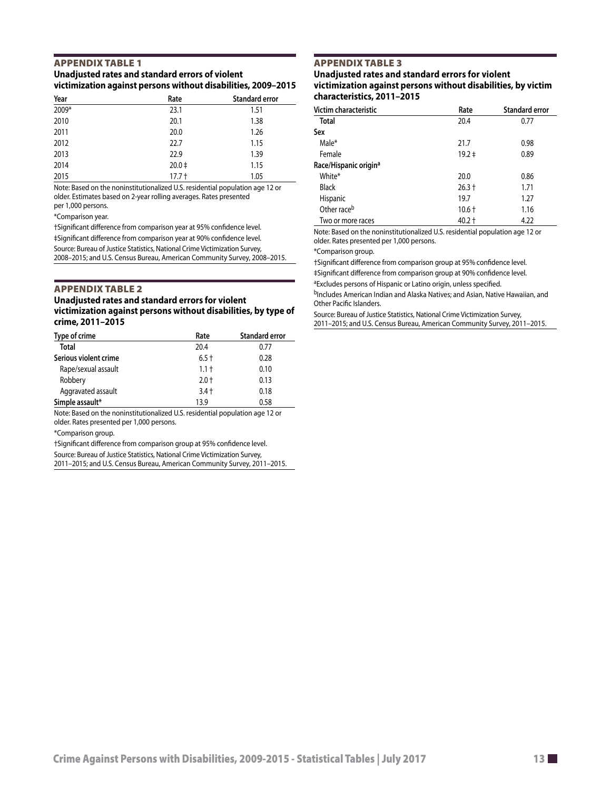# <span id="page-12-0"></span>Appendix table 1 **Unadjusted rates and standard errors of violent victimization against persons without disabilities, 2009–2015**

| Year  | Rate       | <b>Standard error</b> |
|-------|------------|-----------------------|
| 2009* | 23.1       | 1.51                  |
| 2010  | 20.1       | 1.38                  |
| 2011  | 20.0       | 1.26                  |
| 2012  | 22.7       | 1.15                  |
| 2013  | 22.9       | 1.39                  |
| 2014  | $20.0 \pm$ | 1.15                  |
| 2015  | $17.7+$    | 1.05                  |

Note: Based on the noninstitutionalized U.S. residential population age 12 or older. Estimates based on 2-year rolling averages. Rates presented per 1,000 persons.

\*Comparison year.

†Significant difference from comparison year at 95% confidence level. ‡Significant difference from comparison year at 90% confidence level. Source: Bureau of Justice Statistics, National Crime Victimization Survey, 2008–2015; and U.S. Census Bureau, American Community Survey, 2008–2015.

#### Appendix table 2

# **Unadjusted rates and standard errors for violent victimization against persons without disabilities, by type of crime, 2011–2015**

| Type of crime         | Rate    | <b>Standard error</b> |
|-----------------------|---------|-----------------------|
| <b>Total</b>          | 20.4    | 0.77                  |
| Serious violent crime | $6.5 +$ | 0.28                  |
| Rape/sexual assault   | $1.1 +$ | 0.10                  |
| Robbery               | $2.0 +$ | 0.13                  |
| Aggravated assault    | $3.4 +$ | 0.18                  |
| Simple assault*       | 13.9    | 0.58                  |

Note: Based on the noninstitutionalized U.S. residential population age 12 or older. Rates presented per 1,000 persons.

\*Comparison group.

†Significant difference from comparison group at 95% confidence level. Source: Bureau of Justice Statistics, National Crime Victimization Survey, 2011–2015; and U.S. Census Bureau, American Community Survey, 2011–2015.

# Appendix table 3

# **Unadjusted rates and standard errors for violent victimization against persons without disabilities, by victim characteristics, 2011–2015**

| Victim characteristic             | Rate       | <b>Standard error</b> |
|-----------------------------------|------------|-----------------------|
| Total                             | 20.4       | 0.77                  |
| Sex                               |            |                       |
| Male <sup>*</sup>                 | 21.7       | 0.98                  |
| Female                            | $19.2 \pm$ | 0.89                  |
| Race/Hispanic origin <sup>a</sup> |            |                       |
| White*                            | 20.0       | 0.86                  |
| <b>Black</b>                      | $26.3 +$   | 1.71                  |
| <b>Hispanic</b>                   | 19.7       | 1.27                  |
| Other race <sup>b</sup>           | $10.6 +$   | 1.16                  |
| Two or more races                 | $40.2 +$   | 4.22                  |

Note: Based on the noninstitutionalized U.S. residential population age 12 or older. Rates presented per 1,000 persons.

\*Comparison group.

†Significant difference from comparison group at 95% confidence level.

‡Significant difference from comparison group at 90% confidence level.

aExcludes persons of Hispanic or Latino origin, unless specified.

bIncludes American Indian and Alaska Natives; and Asian, Native Hawaiian, and Other Pacific Islanders.

Source: Bureau of Justice Statistics, National Crime Victimization Survey, 2011–2015; and U.S. Census Bureau, American Community Survey, 2011–2015.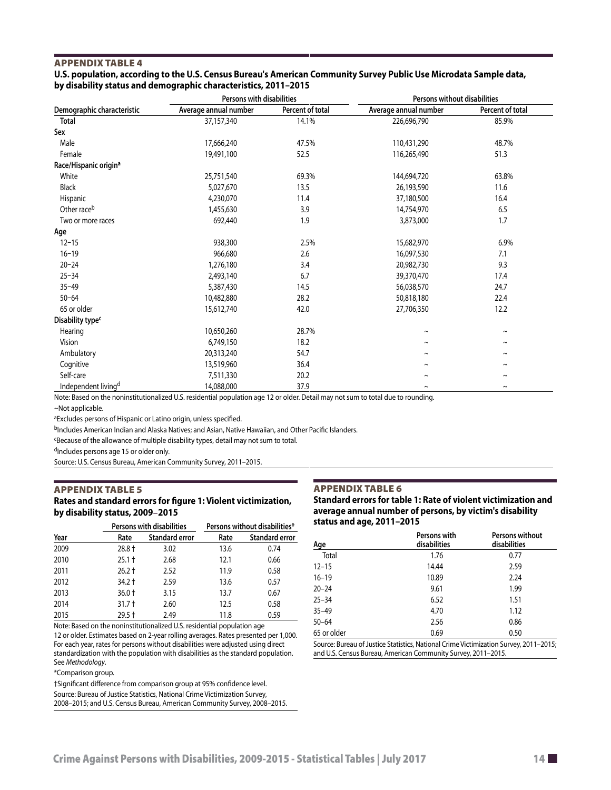## <span id="page-13-0"></span>APPENDIX TABLE 4

# **U.S. population, according to the U.S. Census Bureau's American Community Survey Public Use Microdata Sample data, by disability status and demographic characteristics, 2011–2015**

| Persons with disabilities         |                       | Persons without disabilities |                       |                       |
|-----------------------------------|-----------------------|------------------------------|-----------------------|-----------------------|
| Demographic characteristic        | Average annual number | Percent of total             | Average annual number | Percent of total      |
| <b>Total</b>                      | 37,157,340            | 14.1%                        | 226,696,790           | 85.9%                 |
| Sex                               |                       |                              |                       |                       |
| Male                              | 17,666,240            | 47.5%                        | 110,431,290           | 48.7%                 |
| Female                            | 19,491,100            | 52.5                         | 116,265,490           | 51.3                  |
| Race/Hispanic origin <sup>a</sup> |                       |                              |                       |                       |
| White                             | 25,751,540            | 69.3%                        | 144,694,720           | 63.8%                 |
| Black                             | 5,027,670             | 13.5                         | 26,193,590            | 11.6                  |
| Hispanic                          | 4,230,070             | 11.4                         | 37,180,500            | 16.4                  |
| Other race <sup>b</sup>           | 1,455,630             | 3.9                          | 14,754,970            | 6.5                   |
| Two or more races                 | 692,440               | 1.9                          | 3,873,000             | 1.7                   |
| Age                               |                       |                              |                       |                       |
| $12 - 15$                         | 938,300               | 2.5%                         | 15,682,970            | 6.9%                  |
| $16 - 19$                         | 966,680               | 2.6                          | 16,097,530            | 7.1                   |
| $20 - 24$                         | 1,276,180             | 3.4                          | 20,982,730            | 9.3                   |
| $25 - 34$                         | 2,493,140             | 6.7                          | 39,370,470            | 17.4                  |
| $35 - 49$                         | 5,387,430             | 14.5                         | 56,038,570            | 24.7                  |
| $50 - 64$                         | 10,482,880            | 28.2                         | 50,818,180            | 22.4                  |
| 65 or older                       | 15,612,740            | 42.0                         | 27,706,350            | 12.2                  |
| Disability type <sup>c</sup>      |                       |                              |                       |                       |
| Hearing                           | 10,650,260            | 28.7%                        | $\sim$                | $\sim$                |
| Vision                            | 6,749,150             | 18.2                         | $\tilde{}$            | $\tilde{\phantom{a}}$ |
| Ambulatory                        | 20,313,240            | 54.7                         | $\tilde{}$            | $\tilde{\phantom{a}}$ |
| Cognitive                         | 13,519,960            | 36.4                         | $\tilde{}$            | $\tilde{\phantom{a}}$ |
| Self-care                         | 7,511,330             | 20.2                         | $\sim$                | $\sim$                |
| Independent living <sup>d</sup>   | 14,088,000            | 37.9                         | $\sim$                | $\sim$                |

Note: Based on the noninstitutionalized U.S. residential population age 12 or older. Detail may not sum to total due to rounding.

~Not applicable.

<sup>a</sup>Excludes persons of Hispanic or Latino origin, unless specified.

bIncludes American Indian and Alaska Natives; and Asian, Native Hawaiian, and Other Pacific Islanders.

cBecause of the allowance of multiple disability types, detail may not sum to total.

dIncludes persons age 15 or older only.

Source: U.S. Census Bureau, American Community Survey, 2011–2015.

# APPENDIX TABLE 5 **Rates and standard errors for figure 1: Violent victimization, by disability status, 2009–2015**

|      | Persons with disabilities |                       |      | Persons without disabilities* |
|------|---------------------------|-----------------------|------|-------------------------------|
| Year | Rate                      | <b>Standard error</b> | Rate | <b>Standard error</b>         |
| 2009 | $28.8 +$                  | 3.02                  | 13.6 | 0.74                          |
| 2010 | $25.1 +$                  | 2.68                  | 12.1 | 0.66                          |
| 2011 | $26.2 +$                  | 2.52                  | 11.9 | 0.58                          |
| 2012 | 34.2 †                    | 2.59                  | 13.6 | 0.57                          |
| 2013 | $36.0 +$                  | 3.15                  | 13.7 | 0.67                          |
| 2014 | $31.7 +$                  | 2.60                  | 12.5 | 0.58                          |
| 2015 | $29.5 +$                  | 2.49                  | 11.8 | 0.59                          |

Note: Based on the noninstitutionalized U.S. residential population age 12 or older. Estimates based on 2-year rolling averages. Rates presented per 1,000. For each year, rates for persons without disabilities were adjusted using direct standardization with the population with disabilities as the standard population. See *Methodology*.

\*Comparison group.

†Significant difference from comparison group at 95% confidence level. Source: Bureau of Justice Statistics, National Crime Victimization Survey, 2008–2015; and U.S. Census Bureau, American Community Survey, 2008–2015.

# APPENDIX TABLE 6

**Standard errors for table 1: Rate of violent victimization and average annual number of persons, by victim's disability status and age, 2011–2015**

| Age         | Persons with<br>disabilities | Persons without<br>disabilities |
|-------------|------------------------------|---------------------------------|
| Total       | 1.76                         | 0.77                            |
| $12 - 15$   | 14.44                        | 2.59                            |
| $16 - 19$   | 10.89                        | 2.24                            |
| $20 - 24$   | 9.61                         | 1.99                            |
| $25 - 34$   | 6.52                         | 1.51                            |
| $35 - 49$   | 4.70                         | 1.12                            |
| $50 - 64$   | 2.56                         | 0.86                            |
| 65 or older | 0.69                         | 0.50                            |

Source: Bureau of Justice Statistics, National Crime Victimization Survey, 2011–2015; and U.S. Census Bureau, American Community Survey, 2011–2015.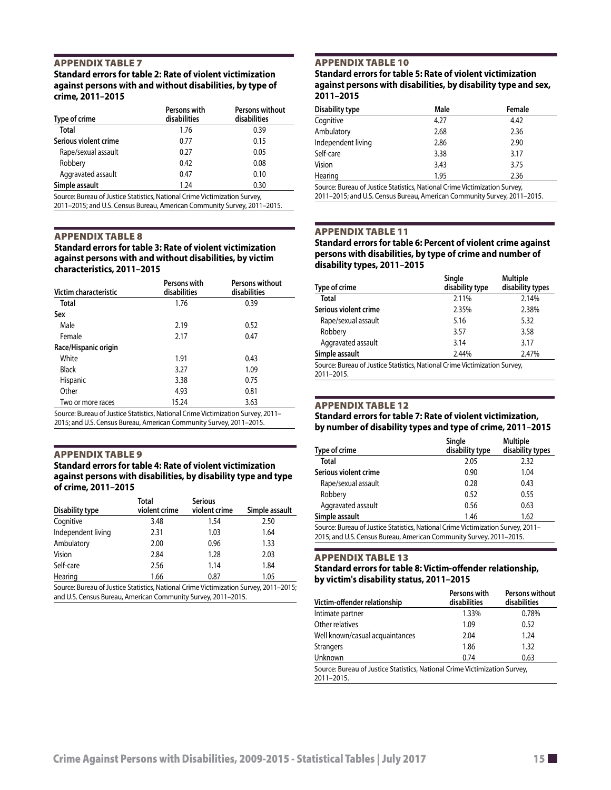# <span id="page-14-0"></span>APPENDIX TABLE 7

# **Standard errors for table 2: Rate of violent victimization against persons with and without disabilities, by type of crime, 2011–2015**

| Type of crime                                                             | Persons with<br>disabilities | Persons without<br>disabilities |
|---------------------------------------------------------------------------|------------------------------|---------------------------------|
| <b>Total</b>                                                              | 1.76                         | 0.39                            |
| Serious violent crime                                                     | 0.77                         | 0.15                            |
| Rape/sexual assault                                                       | 0.27                         | 0.05                            |
| Robbery                                                                   | 0.42                         | 0.08                            |
| Aggravated assault                                                        | 0.47                         | 0.10                            |
| Simple assault                                                            | 1.24                         | 0.30                            |
| Source: Bureau of Justice Statistics, National Crime Victimization Survey |                              |                                 |

Source: Bureau of Justice Statistics, National Crime Victimization Survey, 2011–2015; and U.S. Census Bureau, American Community Survey, 2011–2015.

#### APPENDIX TABLE 8

**Standard errors for table 3: Rate of violent victimization against persons with and without disabilities, by victim characteristics, 2011–2015**

| Victim characteristic                                                         | Persons with<br>disabilities | <b>Persons without</b><br>disabilities |
|-------------------------------------------------------------------------------|------------------------------|----------------------------------------|
| Total                                                                         | 1.76                         | 0.39                                   |
| Sex                                                                           |                              |                                        |
| Male                                                                          | 2.19                         | 0.52                                   |
| Female                                                                        | 2.17                         | 0.47                                   |
| Race/Hispanic origin                                                          |                              |                                        |
| White                                                                         | 1.91                         | 0.43                                   |
| <b>Black</b>                                                                  | 3.27                         | 1.09                                   |
| <b>Hispanic</b>                                                               | 3.38                         | 0.75                                   |
| Other                                                                         | 4.93                         | 0.81                                   |
| Two or more races                                                             | 15.24                        | 3.63                                   |
| Course Bureau of Justice Ctatistics, National Crime Victimization Cunion 2011 |                              |                                        |

Source: Bureau of Justice Statistics, National Crime Victimization Survey, 2011– 2015; and U.S. Census Bureau, American Community Survey, 2011–2015.

#### APPENDIX TABLE 9

# **Standard errors for table 4: Rate of violent victimization against persons with disabilities, by disability type and type of crime, 2011–2015**

| Disability type                                                                       | Total<br>violent crime | <b>Serious</b><br>violent crime | Simple assault |
|---------------------------------------------------------------------------------------|------------------------|---------------------------------|----------------|
| Cognitive                                                                             | 3.48                   | 1.54                            | 2.50           |
| Independent living                                                                    | 2.31                   | 1.03                            | 1.64           |
| Ambulatory                                                                            | 2.00                   | 0.96                            | 1.33           |
| Vision                                                                                | 2.84                   | 1.28                            | 2.03           |
| Self-care                                                                             | 2.56                   | 1.14                            | 1.84           |
| Hearing                                                                               | 1.66                   | 0.87                            | 1.05           |
| Source: Bureau of Justice Statistics, National Crime Victimization Survey, 2011-2015; |                        |                                 |                |

and U.S. Census Bureau, American Community Survey, 2011–2015.

# APPENDIX TABLE 10

**Standard errors for table 5: Rate of violent victimization against persons with disabilities, by disability type and sex, 2011–2015**

| <b>Disability type</b> | Male | Female |
|------------------------|------|--------|
| Cognitive              | 4.27 | 4.42   |
| Ambulatory             | 2.68 | 2.36   |
| Independent living     | 2.86 | 2.90   |
| Self-care              | 3.38 | 3.17   |
| Vision                 | 3.43 | 3.75   |
| Hearing                | 1.95 | 2.36   |

Source: Bureau of Justice Statistics, National Crime Victimization Survey, 2011–2015; and U.S. Census Bureau, American Community Survey, 2011–2015.

# APPENDIX TABLE 11

**Standard errors for table 6: Percent of violent crime against persons with disabilities, by type of crime and number of disability types, 2011–2015**

| Type of crime                                                                 | Single<br>disability type | <b>Multiple</b><br>disability types |
|-------------------------------------------------------------------------------|---------------------------|-------------------------------------|
| <b>Total</b>                                                                  | 2.11%                     | 2.14%                               |
| Serious violent crime                                                         | 2.35%                     | 2.38%                               |
| Rape/sexual assault                                                           | 5.16                      | 5.32                                |
| Robbery                                                                       | 3.57                      | 3.58                                |
| Aggravated assault                                                            | 3.14                      | 3.17                                |
| Simple assault                                                                | 2.44%                     | 2.47%                               |
| Carmen Drugari of Irration Chatistics, National Culson Victimization Crupture |                           |                                     |

Source: Bureau of Justice Statistics, National Crime Victimization Survey, 2011–2015.

#### APPENDIX TABLE 12

# **Standard errors for table 7: Rate of violent victimization, by number of disability types and type of crime, 2011–2015**

| Type of crime                                                                    | Single<br>disability type | <b>Multiple</b><br>disability types |
|----------------------------------------------------------------------------------|---------------------------|-------------------------------------|
| <b>Total</b>                                                                     | 2.05                      | 2.32                                |
| Serious violent crime                                                            | 0.90                      | 1.04                                |
| Rape/sexual assault                                                              | 0.28                      | 0.43                                |
| Robbery                                                                          | 0.52                      | 0.55                                |
| Aggravated assault                                                               | 0.56                      | 0.63                                |
| Simple assault                                                                   | 1.46                      | 1.62                                |
| Source: Bureau of Justice Statistics, National Crime Victimization Survey, 2011- |                           |                                     |

2015; and U.S. Census Bureau, American Community Survey, 2011–2015.

#### APPENDIX TABLE 13

#### **Standard errors for table 8: Victim-offender relationship, by victim's disability status, 2011–2015**

| Victim-offender relationship                                                             | Persons with<br>disabilities | Persons without<br>disabilities |
|------------------------------------------------------------------------------------------|------------------------------|---------------------------------|
| Intimate partner                                                                         | 1.33%                        | 0.78%                           |
| Other relatives                                                                          | 1.09                         | 0.52                            |
| Well known/casual acquaintances                                                          | 2.04                         | 1.24                            |
| <b>Strangers</b>                                                                         | 1.86                         | 1.32                            |
| Unknown                                                                                  | 0.74                         | 0.63                            |
| Source: Bureau of Justice Statistics, National Crime Victimization Survey,<br>2011-2015. |                              |                                 |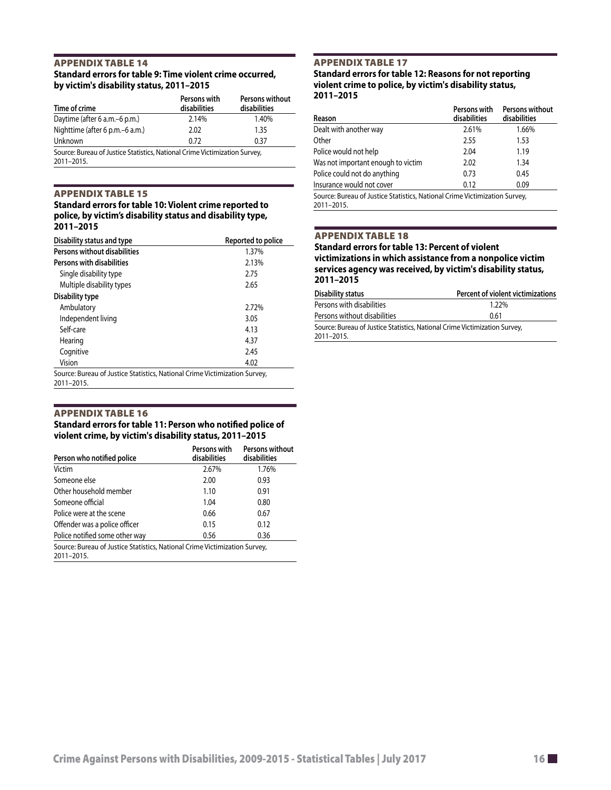# <span id="page-15-0"></span>Appendix table 14 **Standard errors for table 9: Time violent crime occurred, by victim's disability status, 2011–2015**

| Time of crime                                                              | Persons with<br>disabilities | Persons without<br>disabilities |
|----------------------------------------------------------------------------|------------------------------|---------------------------------|
| Daytime (after 6 a.m.–6 p.m.)                                              | 2.14%                        | 1.40%                           |
| Nighttime (after 6 p.m.–6 a.m.)                                            | 2.02                         | 1.35                            |
| Unknown                                                                    | 0.72                         | 0.37                            |
| Source: Bureau of Justice Statistics, National Crime Victimization Survey, |                              |                                 |

2011–2015.

# Appendix table 15

#### **Standard errors for table 10: Violent crime reported to police, by victim's disability status and disability type, 2011–2015**

| Disability status and type                                                               | Reported to police |
|------------------------------------------------------------------------------------------|--------------------|
| Persons without disabilities                                                             | 1.37%              |
| Persons with disabilities                                                                | 2.13%              |
| Single disability type                                                                   | 2.75               |
| Multiple disability types                                                                | 2.65               |
| Disability type                                                                          |                    |
| Ambulatory                                                                               | 2.72%              |
| Independent living                                                                       | 3.05               |
| Self-care                                                                                | 4.13               |
| Hearing                                                                                  | 4.37               |
| Cognitive                                                                                | 2.45               |
| Vision                                                                                   | 4.02               |
| Source: Bureau of Justice Statistics, National Crime Victimization Survey,<br>2011-2015. |                    |

# APPENDIX TABLE 16

# **Standard errors for table 11: Person who notified police of violent crime, by victim's disability status, 2011–2015**

| Person who notified police                                                               | Persons with<br>disabilities | Persons without<br>disabilities |
|------------------------------------------------------------------------------------------|------------------------------|---------------------------------|
| Victim                                                                                   | 2.67%                        | 1.76%                           |
| Someone else                                                                             | 2.00                         | 0.93                            |
| Other household member                                                                   | 1.10                         | 0.91                            |
| Someone official                                                                         | 1.04                         | 0.80                            |
| Police were at the scene                                                                 | 0.66                         | 0.67                            |
| Offender was a police officer                                                            | 0.15                         | 0.12                            |
| Police notified some other way                                                           | 0.56                         | 0.36                            |
| Source: Bureau of Justice Statistics, National Crime Victimization Survey,<br>2011-2015. |                              |                                 |

# APPENDIX TABLE 17

# **Standard errors for table 12: Reasons for not reporting violent crime to police, by victim's disability status, 2011–2015**

| Reason                                                                                   | Persons with<br>disabilities | <b>Persons without</b><br>disabilities |
|------------------------------------------------------------------------------------------|------------------------------|----------------------------------------|
| Dealt with another way                                                                   | 2.61%                        | 1.66%                                  |
| Other                                                                                    | 2.55                         | 1.53                                   |
| Police would not help                                                                    | 2.04                         | 1.19                                   |
| Was not important enough to victim                                                       | 2.02                         | 1.34                                   |
| Police could not do anything                                                             | 0.73                         | 0.45                                   |
| Insurance would not cover                                                                | 0.12                         | 0.09                                   |
| Source: Bureau of Justice Statistics, National Crime Victimization Survey,<br>2011-2015. |                              |                                        |

# APPENDIX TABLE 18

# **Standard errors for table 13: Percent of violent victimizations in which assistance from a nonpolice victim services agency was received, by victim's disability status, 2011–2015**

| Disability status                                                          | Percent of violent victimizations |
|----------------------------------------------------------------------------|-----------------------------------|
| Persons with disabilities                                                  | 1.22%                             |
| Persons without disabilities                                               | 0.61                              |
| Source: Bureau of Justice Statistics, National Crime Victimization Survey, |                                   |
| 2011-2015.                                                                 |                                   |